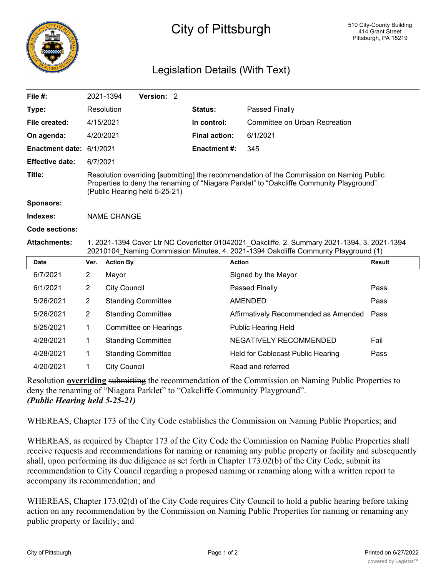

## City of Pittsburgh

## Legislation Details (With Text)

| File #:                |                                                                                                                                                                                                                        | Version: 2<br>2021-1394   |                      |                                      |               |
|------------------------|------------------------------------------------------------------------------------------------------------------------------------------------------------------------------------------------------------------------|---------------------------|----------------------|--------------------------------------|---------------|
| Type:                  |                                                                                                                                                                                                                        | Resolution                | <b>Status:</b>       | Passed Finally                       |               |
| File created:          |                                                                                                                                                                                                                        | 4/15/2021                 | In control:          | Committee on Urban Recreation        |               |
| On agenda:             |                                                                                                                                                                                                                        | 4/20/2021                 | <b>Final action:</b> | 6/1/2021                             |               |
| <b>Enactment date:</b> | 6/1/2021                                                                                                                                                                                                               |                           | <b>Enactment#:</b>   | 345                                  |               |
| <b>Effective date:</b> | 6/7/2021                                                                                                                                                                                                               |                           |                      |                                      |               |
| Title:                 | Resolution overriding [submitting] the recommendation of the Commission on Naming Public<br>Properties to deny the renaming of "Niagara Parklet" to "Oakcliffe Community Playground".<br>(Public Hearing held 5-25-21) |                           |                      |                                      |               |
| <b>Sponsors:</b>       |                                                                                                                                                                                                                        |                           |                      |                                      |               |
| Indexes:               | <b>NAME CHANGE</b>                                                                                                                                                                                                     |                           |                      |                                      |               |
| <b>Code sections:</b>  |                                                                                                                                                                                                                        |                           |                      |                                      |               |
| <b>Attachments:</b>    | 1. 2021-1394 Cover Ltr NC Coverletter 01042021 Oakcliffe, 2. Summary 2021-1394, 3. 2021-1394<br>20210104 Naming Commission Minutes, 4. 2021-1394 Oakcliffe Communty Playground (1)                                     |                           |                      |                                      |               |
| <b>Date</b>            |                                                                                                                                                                                                                        |                           |                      |                                      |               |
|                        | Ver.                                                                                                                                                                                                                   | <b>Action By</b>          | <b>Action</b>        |                                      | <b>Result</b> |
| 6/7/2021               | 2                                                                                                                                                                                                                      | Mayor                     |                      | Signed by the Mayor                  |               |
| 6/1/2021               | 2                                                                                                                                                                                                                      | <b>City Council</b>       |                      | Passed Finally                       | Pass          |
| 5/26/2021              | $\overline{2}$                                                                                                                                                                                                         | <b>Standing Committee</b> |                      | <b>AMENDED</b>                       | Pass          |
| 5/26/2021              | $\overline{2}$                                                                                                                                                                                                         | <b>Standing Committee</b> |                      | Affirmatively Recommended as Amended | Pass          |
| 5/25/2021              | 1                                                                                                                                                                                                                      | Committee on Hearings     |                      | <b>Public Hearing Held</b>           |               |
| 4/28/2021              | 1                                                                                                                                                                                                                      | <b>Standing Committee</b> |                      | NEGATIVELY RECOMMENDED               | Fail          |
| 4/28/2021              | 1                                                                                                                                                                                                                      | <b>Standing Committee</b> |                      | Held for Cablecast Public Hearing    | Pass          |

Resolution **overriding** submitting the recommendation of the Commission on Naming Public Properties to deny the renaming of "Niagara Parklet" to "Oakcliffe Community Playground". *(Public Hearing held 5-25-21)*

WHEREAS, Chapter 173 of the City Code establishes the Commission on Naming Public Properties; and

WHEREAS, as required by Chapter 173 of the City Code the Commission on Naming Public Properties shall receive requests and recommendations for naming or renaming any public property or facility and subsequently shall, upon performing its due diligence as set forth in Chapter 173.02(b) of the City Code, submit its recommendation to City Council regarding a proposed naming or renaming along with a written report to accompany its recommendation; and

WHEREAS, Chapter 173.02(d) of the City Code requires City Council to hold a public hearing before taking action on any recommendation by the Commission on Naming Public Properties for naming or renaming any public property or facility; and